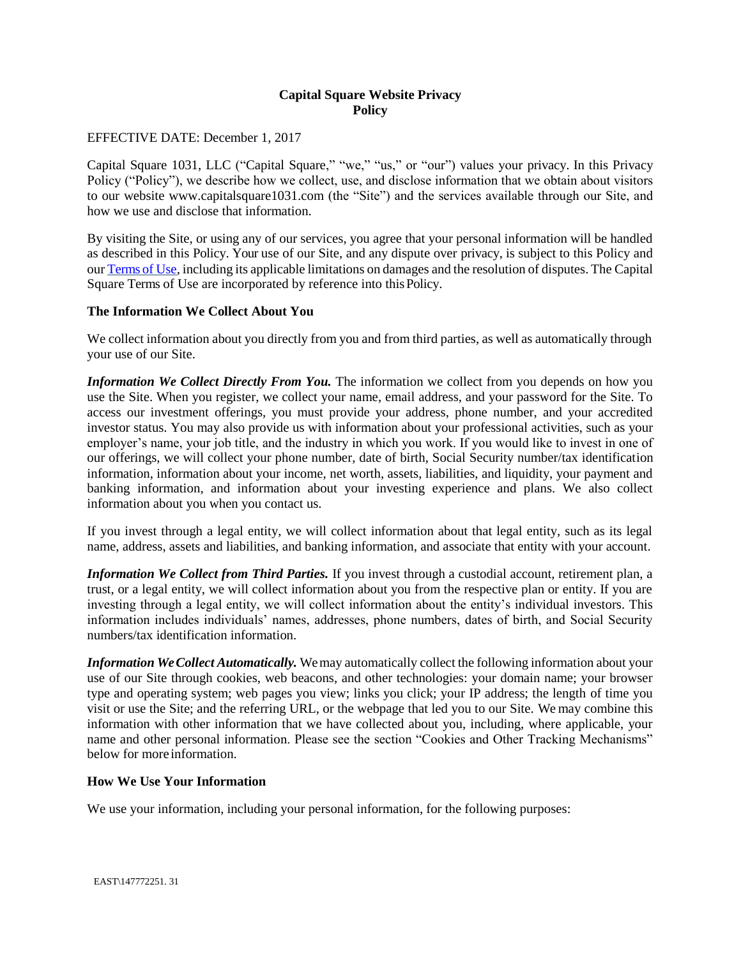# **Capital Square Website Privacy Policy**

#### EFFECTIVE DATE: December 1, 2017

Capital Square 1031, LLC ("Capital Square," "we," "us," or "our") values your privacy. In this Privacy Policy ("Policy"), we describe how we collect, use, and disclose information that we obtain about visitors to our website www.capitalsquare1031.com (the "Site") and the services available through our Site, and how we use and disclose that information.

By visiting the Site, or using any of our services, you agree that your personal information will be handled as described in this Policy. Your use of our Site, and any dispute over privacy, is subject to this Policy and our [Terms of Use,](http://www.capitalsquare1031.com/wp-content/uploads/Terms-of-Use.pdf) including its applicable limitations on damages and the resolution of disputes. The Capital Square Terms of Use are incorporated by reference into thisPolicy.

#### **The Information We Collect About You**

We collect information about you directly from you and from third parties, as well as automatically through your use of our Site.

*Information We Collect Directly From You.* The information we collect from you depends on how you use the Site. When you register, we collect your name, email address, and your password for the Site. To access our investment offerings, you must provide your address, phone number, and your accredited investor status. You may also provide us with information about your professional activities, such as your employer's name, your job title, and the industry in which you work. If you would like to invest in one of our offerings, we will collect your phone number, date of birth, Social Security number/tax identification information, information about your income, net worth, assets, liabilities, and liquidity, your payment and banking information, and information about your investing experience and plans. We also collect information about you when you contact us.

If you invest through a legal entity, we will collect information about that legal entity, such as its legal name, address, assets and liabilities, and banking information, and associate that entity with your account.

*Information We Collect from Third Parties.* If you invest through a custodial account, retirement plan, a trust, or a legal entity, we will collect information about you from the respective plan or entity. If you are investing through a legal entity, we will collect information about the entity's individual investors. This information includes individuals' names, addresses, phone numbers, dates of birth, and Social Security numbers/tax identification information.

*Information We Collect Automatically.* We may automatically collect the following information about your use of our Site through cookies, web beacons, and other technologies: your domain name; your browser type and operating system; web pages you view; links you click; your IP address; the length of time you visit or use the Site; and the referring URL, or the webpage that led you to our Site. We may combine this information with other information that we have collected about you, including, where applicable, your name and other personal information. Please see the section "Cookies and Other Tracking Mechanisms" below for more information.

# **How We Use Your Information**

We use your information, including your personal information, for the following purposes: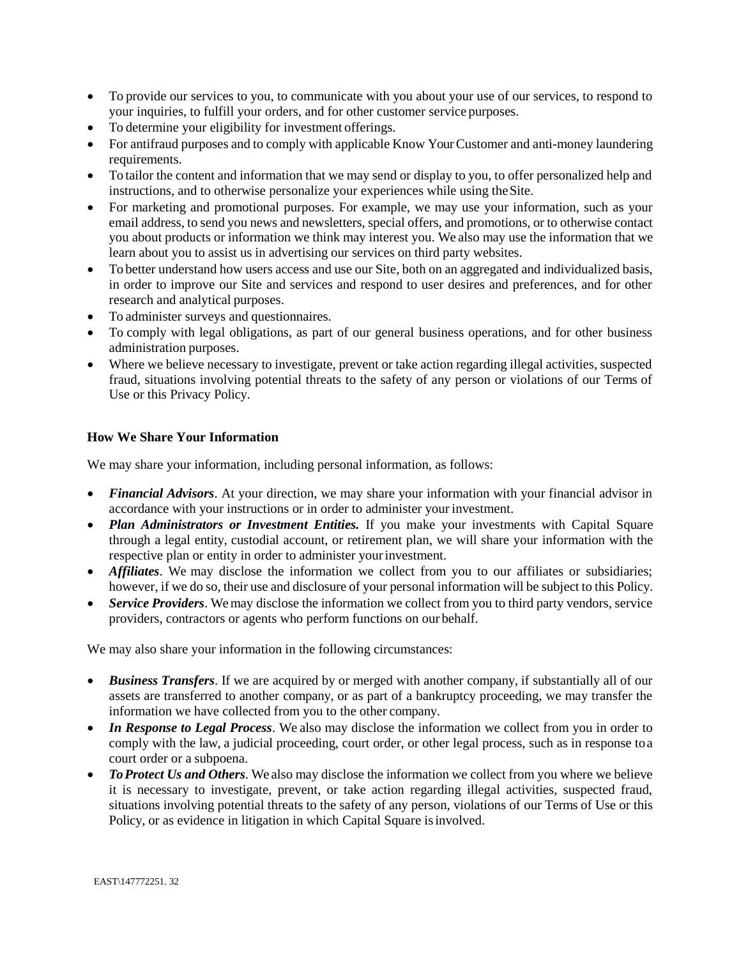- To provide our services to you, to communicate with you about your use of our services, to respond to your inquiries, to fulfill your orders, and for other customer service purposes.
- To determine your eligibility for investment offerings.
- For antifraud purposes and to comply with applicable Know Your Customer and anti-money laundering requirements.
- To tailor the content and information that we may send or display to you, to offer personalized help and instructions, and to otherwise personalize your experiences while using theSite.
- For marketing and promotional purposes. For example, we may use your information, such as your email address, to send you news and newsletters, special offers, and promotions, or to otherwise contact you about products or information we think may interest you. We also may use the information that we learn about you to assist us in advertising our services on third party websites.
- To better understand how users access and use our Site, both on an aggregated and individualized basis, in order to improve our Site and services and respond to user desires and preferences, and for other research and analytical purposes.
- To administer surveys and questionnaires.
- To comply with legal obligations, as part of our general business operations, and for other business administration purposes.
- Where we believe necessary to investigate, prevent or take action regarding illegal activities, suspected fraud, situations involving potential threats to the safety of any person or violations of our Terms of Use or this Privacy Policy.

# **How We Share Your Information**

We may share your information, including personal information, as follows:

- *Financial Advisors*. At your direction, we may share your information with your financial advisor in accordance with your instructions or in order to administer your investment.
- *Plan Administrators or Investment Entities*. If you make your investments with Capital Square through a legal entity, custodial account, or retirement plan, we will share your information with the respective plan or entity in order to administer yourinvestment.
- *Affiliates*. We may disclose the information we collect from you to our affiliates or subsidiaries; however, if we do so, their use and disclosure of your personal information will be subject to this Policy.
- *Service Providers*. We may disclose the information we collect from you to third party vendors, service providers, contractors or agents who perform functions on our behalf.

We may also share your information in the following circumstances:

- *Business Transfers*. If we are acquired by or merged with another company, if substantially all of our assets are transferred to another company, or as part of a bankruptcy proceeding, we may transfer the information we have collected from you to the other company.
- *In Response to Legal Process*. We also may disclose the information we collect from you in order to comply with the law, a judicial proceeding, court order, or other legal process, such as in response toa court order or a subpoena.
- *To Protect Us and Others*. We also may disclose the information we collect from you where we believe it is necessary to investigate, prevent, or take action regarding illegal activities, suspected fraud, situations involving potential threats to the safety of any person, violations of our Terms of Use or this Policy, or as evidence in litigation in which Capital Square is involved.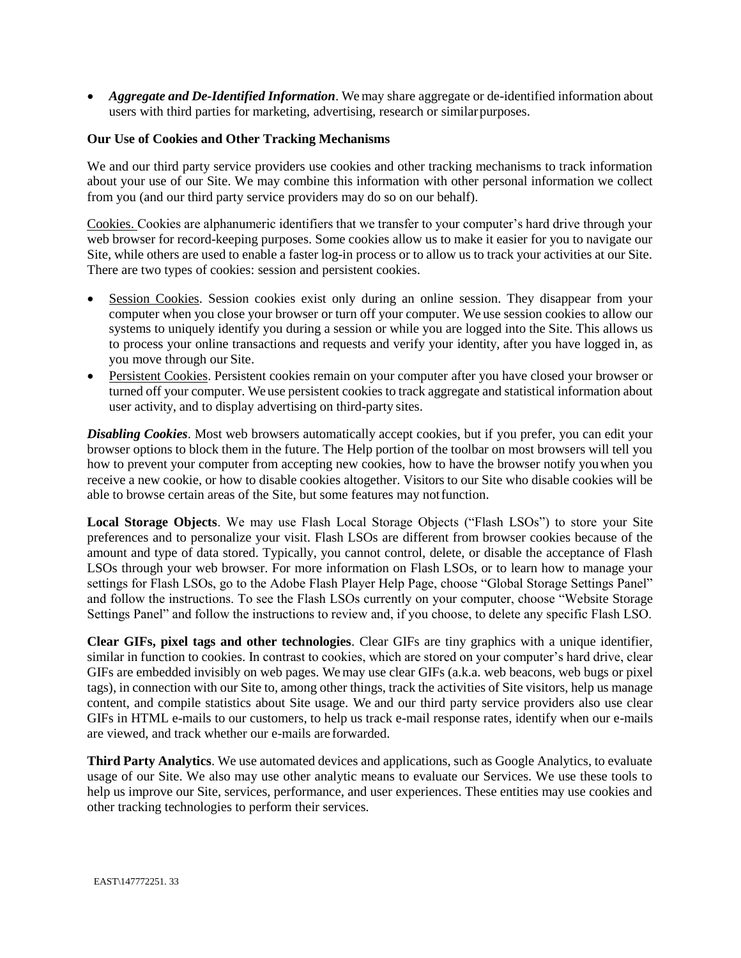• *Aggregate and De-Identified Information*. We may share aggregate or de-identified information about users with third parties for marketing, advertising, research or similarpurposes.

#### **Our Use of Cookies and Other Tracking Mechanisms**

We and our third party service providers use cookies and other tracking mechanisms to track information about your use of our Site. We may combine this information with other personal information we collect from you (and our third party service providers may do so on our behalf).

Cookies. Cookies are alphanumeric identifiers that we transfer to your computer's hard drive through your web browser for record-keeping purposes. Some cookies allow us to make it easier for you to navigate our Site, while others are used to enable a faster log-in process or to allow us to track your activities at our Site. There are two types of cookies: session and persistent cookies.

- Session Cookies. Session cookies exist only during an online session. They disappear from your computer when you close your browser or turn off your computer. We use session cookies to allow our systems to uniquely identify you during a session or while you are logged into the Site. This allows us to process your online transactions and requests and verify your identity, after you have logged in, as you move through our Site.
- Persistent Cookies. Persistent cookies remain on your computer after you have closed your browser or turned off your computer. We use persistent cookies to track aggregate and statistical information about user activity, and to display advertising on third-party sites.

*Disabling Cookies*. Most web browsers automatically accept cookies, but if you prefer, you can edit your browser options to block them in the future. The Help portion of the toolbar on most browsers will tell you how to prevent your computer from accepting new cookies, how to have the browser notify youwhen you receive a new cookie, or how to disable cookies altogether. Visitors to our Site who disable cookies will be able to browse certain areas of the Site, but some features may notfunction.

**Local Storage Objects**. We may use Flash Local Storage Objects ("Flash LSOs") to store your Site preferences and to personalize your visit. Flash LSOs are different from browser cookies because of the amount and type of data stored. Typically, you cannot control, delete, or disable the acceptance of Flash LSOs through your web browser. For more information on Flash LSOs, or to learn how to manage your settings for Flash LSOs, go to the Adobe Flash Player Help Page, choose "Global Storage Settings Panel" and follow the instructions. To see the Flash LSOs currently on your computer, choose "Website Storage Settings Panel" and follow the instructions to review and, if you choose, to delete any specific Flash LSO.

**Clear GIFs, pixel tags and other technologies**. Clear GIFs are tiny graphics with a unique identifier, similar in function to cookies. In contrast to cookies, which are stored on your computer's hard drive, clear GIFs are embedded invisibly on web pages. We may use clear GIFs (a.k.a. web beacons, web bugs or pixel tags), in connection with our Site to, among other things, track the activities of Site visitors, help us manage content, and compile statistics about Site usage. We and our third party service providers also use clear GIFs in HTML e-mails to our customers, to help us track e-mail response rates, identify when our e-mails are viewed, and track whether our e-mails are forwarded.

**Third Party Analytics**. We use automated devices and applications, such as Google Analytics, to evaluate usage of our Site. We also may use other analytic means to evaluate our Services. We use these tools to help us improve our Site, services, performance, and user experiences. These entities may use cookies and other tracking technologies to perform their services.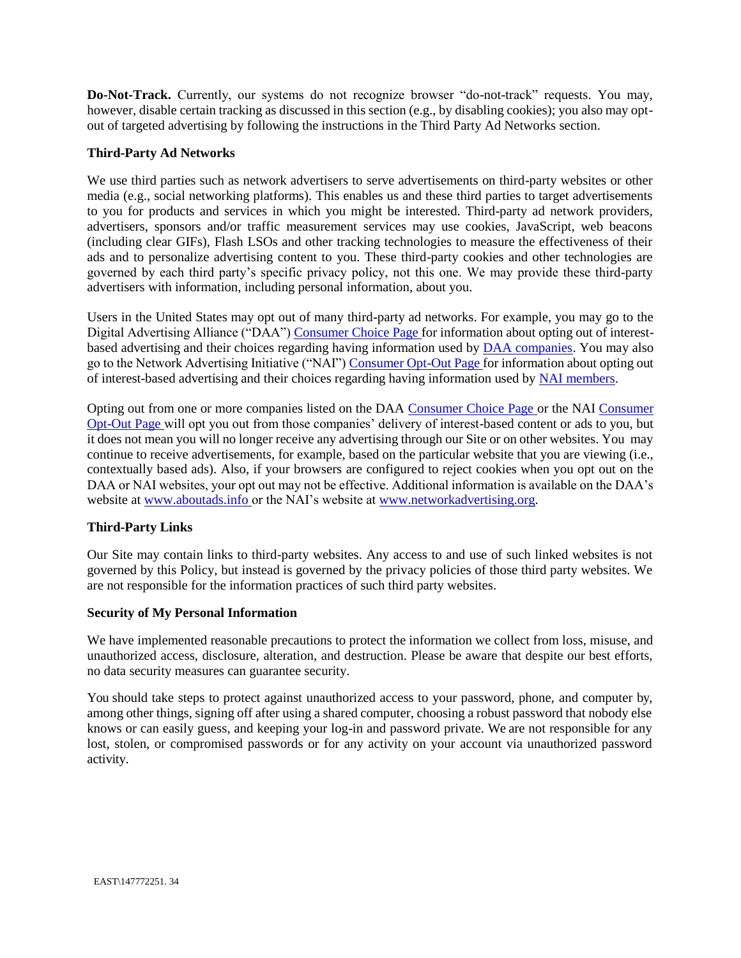**Do-Not-Track.** Currently, our systems do not recognize browser "do-not-track" requests. You may, however, disable certain tracking as discussed in this section (e.g., by disabling cookies); you also may optout of targeted advertising by following the instructions in the Third Party Ad Networks section.

# **Third-Party Ad Networks**

We use third parties such as network advertisers to serve advertisements on third-party websites or other media (e.g., social networking platforms). This enables us and these third parties to target advertisements to you for products and services in which you might be interested. Third-party ad network providers, advertisers, sponsors and/or traffic measurement services may use cookies, JavaScript, web beacons (including clear GIFs), Flash LSOs and other tracking technologies to measure the effectiveness of their ads and to personalize advertising content to you. These third-party cookies and other technologies are governed by each third party's specific privacy policy, not this one. We may provide these third-party advertisers with information, including personal information, about you.

Users in the United States may opt out of many third-party ad networks. For example, you may go to the Digital Advertising Alliance ("DAA") [Consumer Choice Page](http://www.aboutads.info/choices/) for information about opting out of interestbased advertising and their choices regarding having information used by [DAA companies.](http://www.aboutads.info/participating/) You may also go to the Network Advertising Initiative ("NAI"[\) Consumer Opt-Out Page f](http://www.networkadvertising.org/choices/)or information about opting out of interest-based advertising and their choices regarding having information used by [NAI](http://www.networkadvertising.org/participating-networks) [members.](http://www.networkadvertising.org/participating-networks)

Opting out from one or more companies listed on the DAA [Consumer Choice Page o](http://www.aboutads.info/choices/)r the NAI [Consumer](http://www.networkadvertising.org/choices/) [Opt-Out Page w](http://www.networkadvertising.org/choices/)ill opt you out from those companies' delivery of interest-based content or ads to you, but it does not mean you will no longer receive any advertising through our Site or on other websites. You may continue to receive advertisements, for example, based on the particular website that you are viewing (i.e., contextually based ads). Also, if your browsers are configured to reject cookies when you opt out on the DAA or NAI websites, your opt out may not be effective. Additional information is available on the DAA's website at [www.aboutads.info o](http://www.aboutads.info/)r the NAI's website at [www.networkadvertising.org.](http://www.networkadvertising.org/)

# **Third-Party Links**

Our Site may contain links to third-party websites. Any access to and use of such linked websites is not governed by this Policy, but instead is governed by the privacy policies of those third party websites. We are not responsible for the information practices of such third party websites.

# **Security of My Personal Information**

We have implemented reasonable precautions to protect the information we collect from loss, misuse, and unauthorized access, disclosure, alteration, and destruction. Please be aware that despite our best efforts, no data security measures can guarantee security.

You should take steps to protect against unauthorized access to your password, phone, and computer by, among other things, signing off after using a shared computer, choosing a robust password that nobody else knows or can easily guess, and keeping your log-in and password private. We are not responsible for any lost, stolen, or compromised passwords or for any activity on your account via unauthorized password activity.